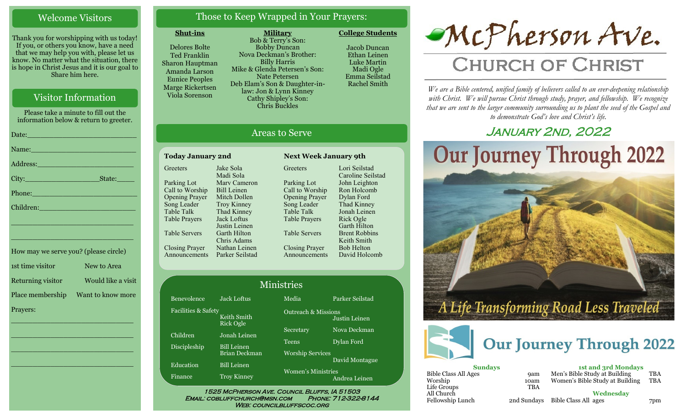## Welcome Visitors

Thank you for worshipping with us today! If you, or others you know, have a need that we may help you with, please let us know. No matter what the situation, there is hope in Christ Jesus and it is our goal to Share him here.

## Visitor Information

Please take a minute to fill out the information below & return to greeter. Date:\_\_\_\_\_\_\_\_\_\_\_\_\_\_\_\_\_\_\_\_\_\_\_\_\_ Name: Address:\_\_\_\_\_\_\_\_\_\_\_\_\_\_\_\_\_\_\_\_\_\_ City:\_\_\_\_\_\_\_\_\_\_\_\_\_\_\_\_\_State:\_\_\_\_ Phone:\_\_\_\_\_\_\_\_\_\_\_\_\_\_\_\_\_\_\_\_\_\_\_\_ Children: \_\_\_\_\_\_\_\_\_\_\_\_\_\_\_\_\_\_\_\_\_\_\_\_\_\_\_\_

How may we serve you? (please circle) 1st time visitor New to Area Returning visitor Would like a visit Place membership Want to know more Prayers:

\_\_\_\_\_\_\_\_\_\_\_\_\_\_\_\_\_\_\_\_\_\_\_\_\_\_\_\_

 $\overline{\phantom{a}}$  , and the set of the set of the set of the set of the set of the set of the set of the set of the set of the set of the set of the set of the set of the set of the set of the set of the set of the set of the s

 $\overline{\phantom{a}}$  , and the set of the set of the set of the set of the set of the set of the set of the set of the set of the set of the set of the set of the set of the set of the set of the set of the set of the set of the s

\_\_\_\_\_\_\_\_\_\_\_\_\_\_\_\_\_\_\_\_\_\_\_\_\_\_\_\_

\_\_\_\_\_\_\_\_\_\_\_\_\_\_\_\_\_\_\_\_\_\_\_\_\_\_\_\_

## Those to Keep Wrapped in Your Prayers:

#### **Shut-ins**

Delores Bolte Ted Franklin Sharon Hauptman Amanda Larson Eunice Peoples Marge Rickertsen Viola Sorenson

**Military** Bob & Terry's Son: Bobby Duncan Nova Deckman's Brother: Billy Harris Mike & Glenda Petersen's Son: Nate Petersen Deb Elam's Son & Daughter-inlaw: Jon & Lynn Kinney Cathy Shipley's Son: Chris Buckles

Jacob Duncan Ethan Leinen Luke Martin

**College Students** 



# Areas to Serve

| <b>Today January 2nd</b> |                    |  |  |
|--------------------------|--------------------|--|--|
| Greeters                 | Jake Sola          |  |  |
|                          | Madi Sola          |  |  |
| Parking Lot              | Mary Cameron       |  |  |
| Call to Worship          | Bill Leinen        |  |  |
| <b>Opening Prayer</b>    | Mitch Dollen       |  |  |
| Song Leader              | <b>Troy Kinney</b> |  |  |
| <b>Table Talk</b>        | Thad Kinney        |  |  |
| <b>Table Prayers</b>     | Jack Loftus        |  |  |
|                          | Justin Leinen      |  |  |
| Table Servers            | Garth Hilton       |  |  |
|                          | Chris Adams        |  |  |
| <b>Closing Prayer</b>    | Nathan Leinen      |  |  |
| nouncements              | Parker Seilstad    |  |  |

Fa

**Greeters** Parking Lot Call to Worship Opening Prayer Song Leader Table Talk Table Prayers Table Servers Closing Prayer Announcements Lori Seilstad Caroline Seilstad John Leighton Ron Holcomb Dylan Ford Thad Kinney Jonah Leinen Rick Ogle Garth Hilton Brent Robbins Keith Smith Bob Helton David Holcomb

**Next Week January 9th** 

| <b>Ministries</b>   |                          |                                            |                 |  |
|---------------------|--------------------------|--------------------------------------------|-----------------|--|
| Benevolence         | <b>Jack Loftus</b>       | Media                                      | Parker Seilstad |  |
| Facilities & Safety | Keith Smith<br>Rick Ogle | <b>Outreach &amp; Missions</b>             | Justin Leinen   |  |
| Children            | Jonah Leinen             | Secretary                                  | Nova Deckman    |  |
| Discipleship        | <b>Bill Leinen</b>       | <b>Teens</b>                               | Dylan Ford      |  |
|                     | Brian Deckman            | <b>Worship Services</b>                    | David Montague  |  |
| Education           | <b>Bill Leinen</b>       | <b>Women's Ministries</b><br>Andrea Leinen |                 |  |
| Finance             | <b>Troy Kinney</b>       |                                            |                 |  |

WEB: COUNCILBLUFFSCOC.ORG



# **CHURCH OF CHRIST**

*We are a Bible centered, unified family of believers called to an ever-deepening relationship*  with Christ. We will pursue Christ through study, prayer, and fellowship. We recognize *that we are sent to the larger community surrounding us to plant the seed of the Gospel and to demonstrate God's love and Christ's life.*

# JANUARY 2ND, 2022





| <b>Sundays</b>              |             |  |  |
|-----------------------------|-------------|--|--|
| <b>Bible Class All Ages</b> | <b>9am</b>  |  |  |
| Worship                     | 10am        |  |  |
| Life Groups                 | <b>TBA</b>  |  |  |
| All Church                  |             |  |  |
| Fellowship Lunch            | 2nd Sundays |  |  |
|                             |             |  |  |

**1st and 3rd Mondays** Men's Bible Study at Building TBA<br>Women's Bible Study at Building TBA Women's Bible Study at Building

**Wednesday** Bible Class All ages 7pm